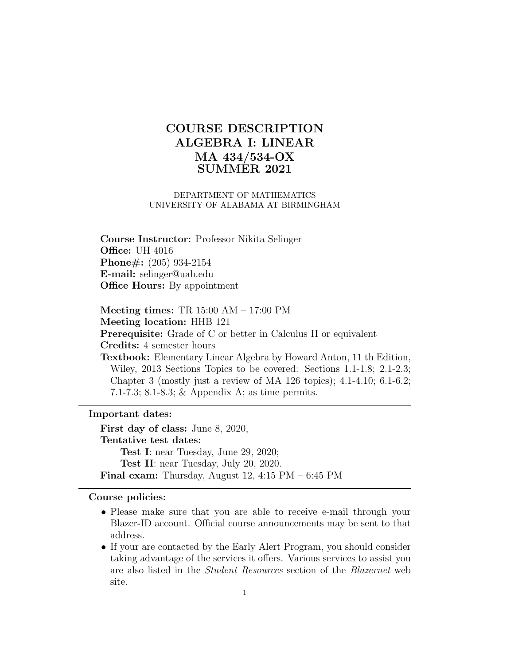# COURSE DESCRIPTION ALGEBRA I: LINEAR MA 434/534-OX SUMMER 2021

#### DEPARTMENT OF MATHEMATICS UNIVERSITY OF ALABAMA AT BIRMINGHAM

Course Instructor: Professor Nikita Selinger **Office: UH 4016** Phone#: (205) 934-2154 E-mail: selinger@uab.edu **Office Hours:** By appointment

Meeting times: TR 15:00 AM – 17:00 PM Meeting location: HHB 121 Prerequisite: Grade of C or better in Calculus II or equivalent Credits: 4 semester hours Textbook: Elementary Linear Algebra by Howard Anton, 11 th Edition, Wiley, 2013 Sections Topics to be covered: Sections 1.1-1.8; 2.1-2.3; Chapter 3 (mostly just a review of MA 126 topics); 4.1-4.10; 6.1-6.2; 7.1-7.3; 8.1-8.3; & Appendix A; as time permits.

#### Important dates:

First day of class: June 8, 2020, Tentative test dates: Test I: near Tuesday, June 29, 2020; Test II: near Tuesday, July 20, 2020. Final exam: Thursday, August 12, 4:15 PM – 6:45 PM

#### Course policies:

- Please make sure that you are able to receive e-mail through your Blazer-ID account. Official course announcements may be sent to that address.
- If your are contacted by the Early Alert Program, you should consider taking advantage of the services it offers. Various services to assist you are also listed in the Student Resources section of the Blazernet web site.